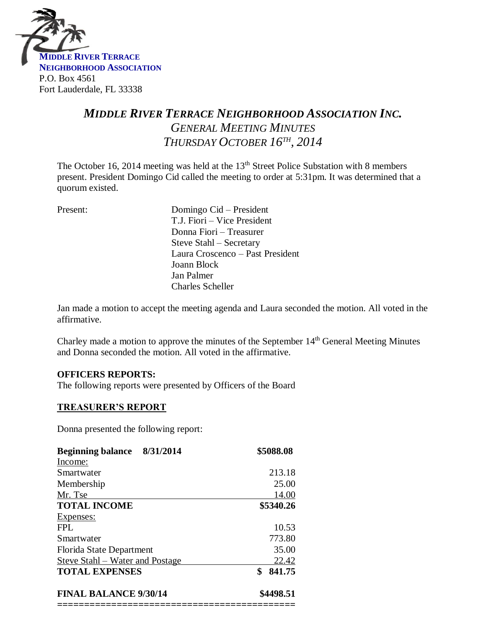

# *MIDDLE RIVER TERRACE NEIGHBORHOOD ASSOCIATION INC. GENERAL MEETING MINUTES THURSDAY OCTOBER 16TH , 2014*

The October 16, 2014 meeting was held at the  $13<sup>th</sup>$  Street Police Substation with 8 members present. President Domingo Cid called the meeting to order at 5:31pm. It was determined that a quorum existed.

| Present: | Domingo Cid – President<br>T.J. Fiori – Vice President<br>Donna Fiori – Treasurer<br>Steve Stahl – Secretary<br>Laura Croscenco - Past President<br>Joann Block |
|----------|-----------------------------------------------------------------------------------------------------------------------------------------------------------------|
|          | Jan Palmer                                                                                                                                                      |
|          | <b>Charles Scheller</b>                                                                                                                                         |

Jan made a motion to accept the meeting agenda and Laura seconded the motion. All voted in the affirmative.

Charley made a motion to approve the minutes of the September 14<sup>th</sup> General Meeting Minutes and Donna seconded the motion. All voted in the affirmative.

#### **OFFICERS REPORTS:**

The following reports were presented by Officers of the Board

#### **TREASURER'S REPORT**

Donna presented the following report:

| \$5088.08 |
|-----------|
|           |
| 213.18    |
| 25.00     |
| 14.00     |
| \$5340.26 |
|           |
| 10.53     |
| 773.80    |
| 35.00     |
| 22.42     |
| 841.75    |
| \$4498.51 |
|           |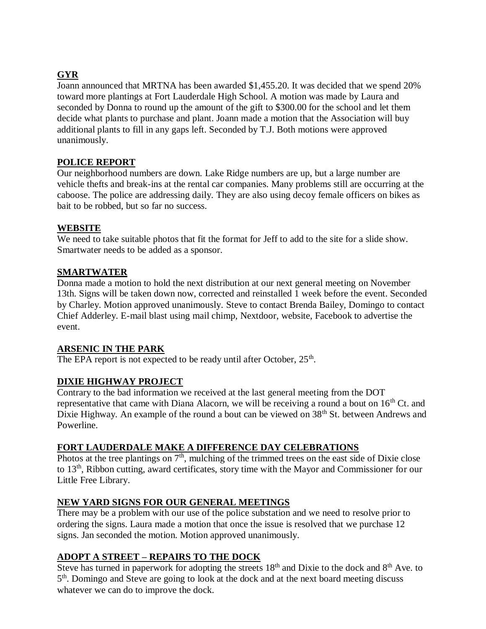# **GYR**

Joann announced that MRTNA has been awarded \$1,455.20. It was decided that we spend 20% toward more plantings at Fort Lauderdale High School. A motion was made by Laura and seconded by Donna to round up the amount of the gift to \$300.00 for the school and let them decide what plants to purchase and plant. Joann made a motion that the Association will buy additional plants to fill in any gaps left. Seconded by T.J. Both motions were approved unanimously.

# **POLICE REPORT**

Our neighborhood numbers are down. Lake Ridge numbers are up, but a large number are vehicle thefts and break-ins at the rental car companies. Many problems still are occurring at the caboose. The police are addressing daily. They are also using decoy female officers on bikes as bait to be robbed, but so far no success.

# **WEBSITE**

We need to take suitable photos that fit the format for Jeff to add to the site for a slide show. Smartwater needs to be added as a sponsor.

# **SMARTWATER**

Donna made a motion to hold the next distribution at our next general meeting on November 13th. Signs will be taken down now, corrected and reinstalled 1 week before the event. Seconded by Charley. Motion approved unanimously. Steve to contact Brenda Bailey, Domingo to contact Chief Adderley. E-mail blast using mail chimp, Nextdoor, website, Facebook to advertise the event.

# **ARSENIC IN THE PARK**

The EPA report is not expected to be ready until after October,  $25<sup>th</sup>$ .

# **DIXIE HIGHWAY PROJECT**

Contrary to the bad information we received at the last general meeting from the DOT representative that came with Diana Alacorn, we will be receiving a round a bout on 16<sup>th</sup> Ct. and Dixie Highway. An example of the round a bout can be viewed on 38<sup>th</sup> St. between Andrews and Powerline.

#### **FORT LAUDERDALE MAKE A DIFFERENCE DAY CELEBRATIONS**

Photos at the tree plantings on  $7<sup>th</sup>$ , mulching of the trimmed trees on the east side of Dixie close to 13th, Ribbon cutting, award certificates, story time with the Mayor and Commissioner for our Little Free Library.

#### **NEW YARD SIGNS FOR OUR GENERAL MEETINGS**

There may be a problem with our use of the police substation and we need to resolve prior to ordering the signs. Laura made a motion that once the issue is resolved that we purchase 12 signs. Jan seconded the motion. Motion approved unanimously.

# **ADOPT A STREET – REPAIRS TO THE DOCK**

Steve has turned in paperwork for adopting the streets  $18<sup>th</sup>$  and Dixie to the dock and  $8<sup>th</sup>$  Ave. to 5<sup>th</sup>. Domingo and Steve are going to look at the dock and at the next board meeting discuss whatever we can do to improve the dock.